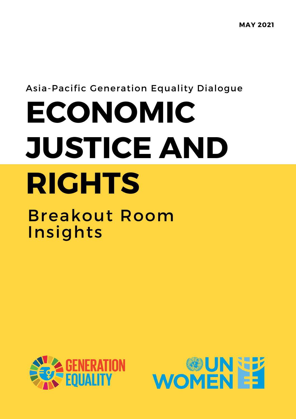Asia-Pacific Generation Equality Dialogue

# **ECONOMIC JUSTICE AND RIGHTS**

Breakout Room Insights



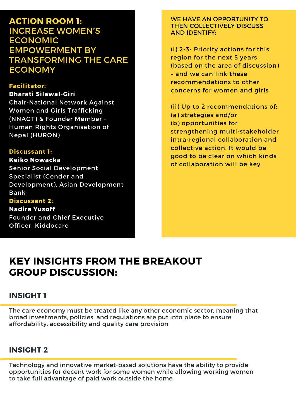**ACTION ROOM 1:** INCREASE WOMEN'S ECONOMIC EMPOWERMENT BY TRANSFORMING THE CARE ECONOMY

### **Facilitator:**

**Bharati Silawal-Giri** Chair-National Network Against Women and Girls Trafficking (NNAGT) & Founder Member - Human Rights Organisation of Nepal (HURON)

#### **Discussant 1:**

**Keiko Nowacka** Senior Social Development Specialist (Gender and Development), Asian Development Bank

**Discussant 2: Nadira Yusoff** Founder and Chief Executive Officer, Kiddocare

WE HAVE AN OPPORTUNITY TO THEN COLLECTIVELY DISCUSS AND IDENTIFY:

(i) 2-3- Priority actions for this region for the next 5 years (based on the area of discussion) – and we can link these recommendations to other concerns for women and girls

(ii) Up to 2 recommendations of: (a) strategies and/or (b) opportunities for strengthening multi-stakeholder intra-regional collaboration and collective action. It would be good to be clear on which kinds of collaboration will be key

# **KEY INSIGHTS FROM THE BREAKOUT GROUP DISCUSSION:**

## **INSIGHT 1**

The care economy must be treated like any other economic sector, meaning that broad investments, policies, and regulations are put into place to ensure affordability, accessibility and quality care provision

## **INSIGHT 2**

Technology and innovative market-based solutions have the ability to provide opportunities for decent work for some women while allowing working women to take full advantage of paid work outside the home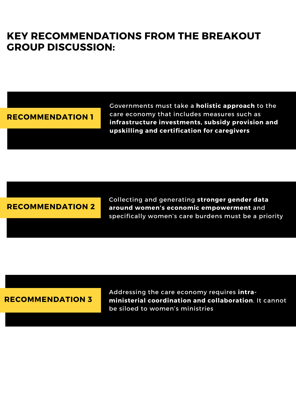# **KEY RECOMMENDATIONS FROM THE BREAKOUT GROUP DISCUSSION:**

**RECOMMENDATION 1**

Governments must take a **holistic approach** to the care economy that includes measures such as **infrastructure investments, subsidy provision and upskilling and certification for caregivers**

**RECOMMENDATION 2**

Collecting and generating **stronger gender data around women's economic empowerment** and specifically women's care burdens must be a priority

**RECOMMENDATION 3**

Addressing the care economy requires **intraministerial coordination and collaboration**. It cannot be siloed to women's ministries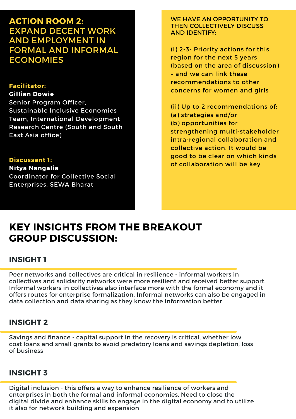**ACTION ROOM 2:** EXPAND DECENT WORK AND EMPLOYMENT IN FORMAL AND INFORMAL ECONOMIES

**Facilitator:**

**Gillian Dowie** Senior Program Officer, Sustainable Inclusive Economies Team, International Development Research Centre (South and South East Asia office)

**Discussant 1: Nitya Nangalia** Coordinator for Collective Social Enterprises, SEWA Bharat

WE HAVE AN OPPORTUNITY TO THEN COLLECTIVELY DISCUSS AND IDENTIFY:

(i) 2-3- Priority actions for this region for the next 5 years (based on the area of discussion) – and we can link these recommendations to other concerns for women and girls

(ii) Up to 2 recommendations of: (a) strategies and/or (b) opportunities for strengthening multi-stakeholder intra-regional collaboration and collective action. It would be good to be clear on which kinds of collaboration will be key

# **KEY INSIGHTS FROM THE BREAKOUT GROUP DISCUSSION:**

## **INSIGHT 1**

Peer networks and collectives are critical in resilience - informal workers in collectives and solidarity networks were more resilient and received better support. Informal workers in collectives also interface more with the formal economy and it offers routes for enterprise formalization. Informal networks can also be engaged in data collection and data sharing as they know the information better

## **INSIGHT 2**

Savings and finance - capital support in the recovery is critical, whether low cost loans and small grants to avoid predatory loans and savings depletion, loss of business

## **INSIGHT 3**

Digital inclusion - this offers a way to enhance resilience of workers and enterprises in both the formal and informal economies. Need to close the digital divide and enhance skills to engage in the digital economy and to utilize it also for network building and expansion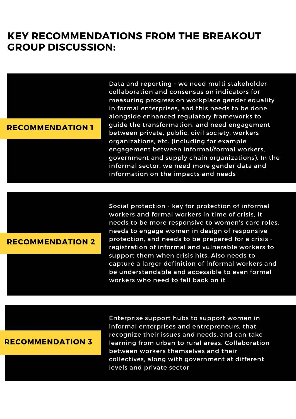# **KEY RECOMMENDATIONS FROM THE BREAKOUT GROUP DISCUSSION:**

#### **RECOMMENDATION 1**

Data and reporting - we need multi stakeholder collaboration and consensus on indicators for measuring progress on workplace gender equality in formal enterprises, and this needs to be done alongside enhanced regulatory frameworks to guide the transformation, and need engagement between private, public, civil society, workers organizations, etc. (including for example engagement between informal/formal workers, government and supply chain organizations). In the informal sector, we need more gender data and information on the impacts and needs

## **RECOMMENDATION 2**

Social protection - key for protection of informal workers and formal workers in time of crisis, it needs to be more responsive to women's care roles, needs to engage women in design of responsive protection, and needs to be prepared for a crisis registration of informal and vulnerable workers to support them when crisis hits. Also needs to capture a larger definition of informal workers and be understandable and accessible to even formal workers who need to fall back on it

#### **RECOMMENDATION 3**

Enterprise support hubs to support women in informal enterprises and entrepreneurs, that recognize their issues and needs, and can take learning from urban to rural areas. Collaboration between workers themselves and their collectives, along with government at different levels and private sector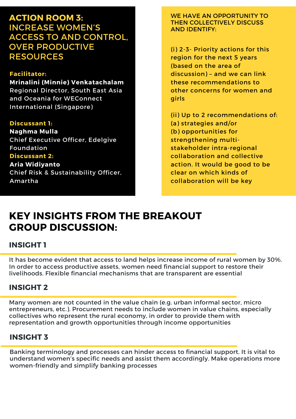**ACTION ROOM 3:** INCREASE WOMEN'S ACCESS TO AND CONTROL, OVER PRODUCTIVE RESOURCES

#### **Facilitator:**

**Mrinalini (Minnie) Venkatachalam** Regional Director, South East Asia and Oceania for WEConnect International (Singapore)

#### **Discussant 1:**

**Naghma Mulla** Chief Executive Officer, Edelgive Foundation **Discussant 2: Aria Widiyanto**

Chief Risk & Sustainability Officer, Amartha

WE HAVE AN OPPORTUNITY TO THEN COLLECTIVELY DISCUSS AND IDENTIFY:

(i) 2-3- Priority actions for this region for the next 5 years (based on the area of discussion) – and we can link these recommendations to other concerns for women and girls

(ii) Up to 2 recommendations of: (a) strategies and/or (b) opportunities for strengthening multistakeholder intra-regional collaboration and collective action. It would be good to be clear on which kinds of collaboration will be key

# **KEY INSIGHTS FROM THE BREAKOUT GROUP DISCUSSION:**

## **INSIGHT 1**

It has become evident that access to land helps increase income of rural women by 30%. In order to access productive assets, women need financial support to restore their livelihoods. Flexible financial mechanisms that are transparent are essential

## **INSIGHT 2**

Many women are not counted in the value chain (e.g. urban informal sector, micro entrepreneurs, etc.). Procurement needs to include women in value chains, especially collectives who represent the rural economy, in order to provide them with representation and growth opportunities through income opportunities

## **INSIGHT 3**

Banking terminology and processes can hinder access to financial support. It is vital to understand women's specific needs and assist them accordingly. Make operations more women-friendly and simplify banking processes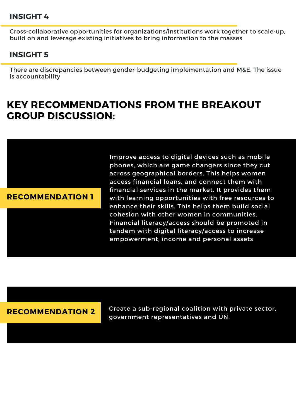## **INSIGHT 4**

Cross-collaborative opportunities for organizations/institutions work together to scale-up, build on and leverage existing initiatives to bring information to the masses

## **INSIGHT 5**

There are discrepancies between gender-budgeting implementation and M&E. The issue is accountability

# **KEY RECOMMENDATIONS FROM THE BREAKOUT GROUP DISCUSSION:**

#### **RECOMMENDATION 1**

Improve access to digital devices such as mobile phones, which are game changers since they cut across geographical borders. This helps women access financial loans, and connect them with financial services in the market. It provides them with learning opportunities with free resources to enhance their skills. This helps them build social cohesion with other women in communities. Financial literacy/access should be promoted in tandem with digital literacy/access to increase empowerment, income and personal assets

#### **RECOMMENDATION 2**

Create a sub-regional coalition with private sector, government representatives and UN.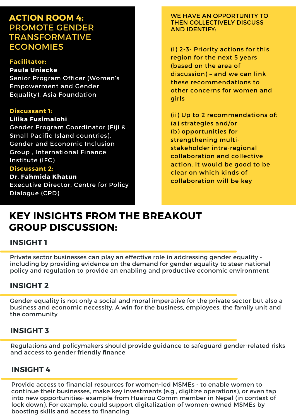## **ACTION ROOM 4:** PROMOTE GENDER TRANSFORMATIVE **ECONOMIES**

## **Facilitator:**

**Paula Uniacke**

Senior Program Officer (Women's Empowerment and Gender Equality), Asia Foundation

## **Discussant 1:**

#### **Lilika Fusimalohi**

Gender Program Coordinator (Fiji & Small Pacific Island countries), Gender and Economic Inclusion Group , International Finance Institute (IFC)

## **Discussant 2:**

**Dr. Fahmida Khatun** Executive Director, Centre for Policy Dialogue (CPD)

WE HAVE AN OPPORTUNITY TO THEN COLLECTIVELY DISCUSS AND IDENTIFY:

(i) 2-3- Priority actions for this region for the next 5 years (based on the area of discussion) – and we can link these recommendations to other concerns for women and girls

(ii) Up to 2 recommendations of: (a) strategies and/or (b) opportunities for strengthening multistakeholder intra-regional collaboration and collective action. It would be good to be clear on which kinds of collaboration will be key

# **KEY INSIGHTS FROM THE BREAKOUT GROUP DISCUSSION:**

## **INSIGHT 1**

Private sector businesses can play an effective role in addressing gender equality including by providing evidence on the demand for gender equality to steer national policy and regulation to provide an enabling and productive economic environment

## **INSIGHT 2**

Gender equality is not only a social and moral imperative for the private sector but also a business and economic necessity. A win for the business, employees, the family unit and the community

## **INSIGHT 3**

Regulations and policymakers should provide guidance to safeguard gender-related risks and access to gender friendly finance

## **INSIGHT 4**

Provide access to financial resources for women-led MSMEs - to enable women to continue their businesses, make key investments (e.g., digitize operations), or even tap into new opportunities- example from Huairou Comm member in Nepal (in context of lock down). For example, could support digitalization of women-owned MSMEs by boosting skills and access to financing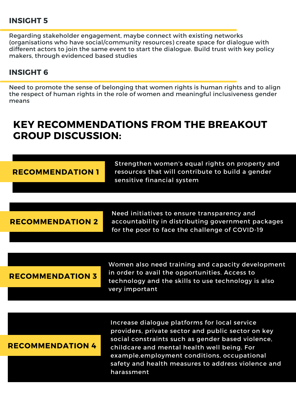## **INSIGHT 5**

Regarding stakeholder engagement, maybe connect with existing networks (organisations who have social/community resources) create space for dialogue with different actors to join the same event to start the dialogue. Build trust with key policy makers, through evidenced based studies

## **INSIGHT 6**

Need to promote the sense of belonging that women rights is human rights and to align the respect of human rights in the role of women and meaningful inclusiveness gender means

# **KEY RECOMMENDATIONS FROM THE BREAKOUT GROUP DISCUSSION:**

## **RECOMMENDATION 1**

Strengthen women's equal rights on property and resources that will contribute to build a gender sensitive financial system

## **RECOMMENDATION 2**

Need initiatives to ensure transparency and accountability in distributing government packages for the poor to face the challenge of COVID-19

## **RECOMMENDATION 3**

Women also need training and capacity development in order to avail the opportunities. Access to technology and the skills to use technology is also very important

## **RECOMMENDATION 4**

Increase dialogue platforms for local service providers, private sector and public sector on key social constraints such as gender based violence, childcare and mental health well being. For example,employment conditions, occupational safety and health measures to address violence and harassment